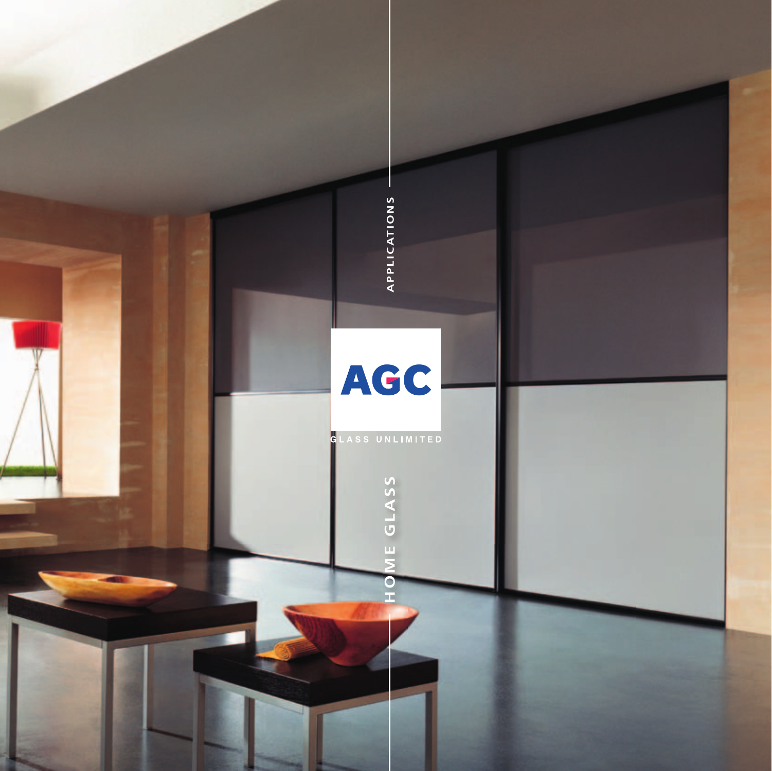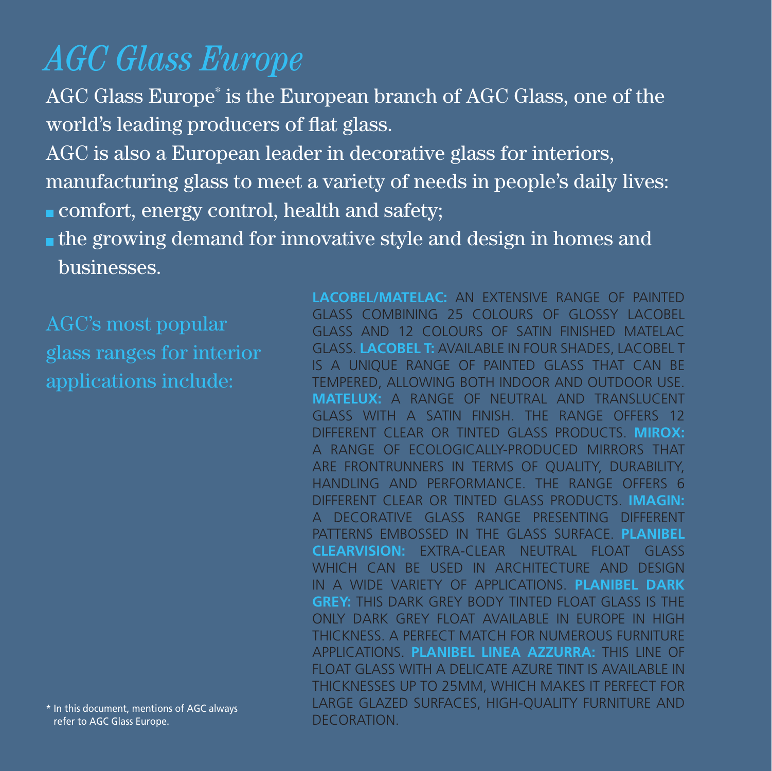### *AGC Glass Europe*

AGC Glass Europe\* is the European branch of AGC Glass, one of the world's leading producers of flat glass.

AGC is also a European leader in decorative glass for interiors, manufacturing glass to meet a variety of needs in people's daily lives: comfort, energy control, health and safety;

**the growing demand for innovative style and design in homes and** businesses.

\* In this document, mentions of AGC always refer to AGC Glass Europe.

**Lacobel/Matelac:** an extensive range of painted glass combining 25 colours of glossy Lacobel glass and 12 colours of satin finished Matelac glass. **Lacobel T:** available in four shades, Lacobel t is a unique range of painted glass that can be tempered, allowing both indoor and outdoor use. **Matelux:** a range of neutral and translucent glass with a satin finish. The range offers 12 different clear or tinted GLASS PRODUCTS. **Mirox:**  A range of ecologically-produced mirrors that are frontrunners in terms of quality, durability, handling and performance. The range offers 6 different clear or tinted glass products. **Imagin:**  a decorative glass range presenting different patterns embossed in the glass surface. **Planibel Clearvision:** Extra-clear neutral float glass WHICH CAN BE USED IN ARCHITECTURE AND DESIGN in a wide variety of applications. **Planibel Dark Grey:** this dark grey body tinted float glass is the only dark grey float available in Europe in high thickness. A perfect match for numerous furniture applications. **Planibel Linea Azzurra:** This line of float glass with a delicate azure tint is available in thicknesses up to 25mm, which makes it perfect for large glazed surfaces, high-quality furniture and DECORATION.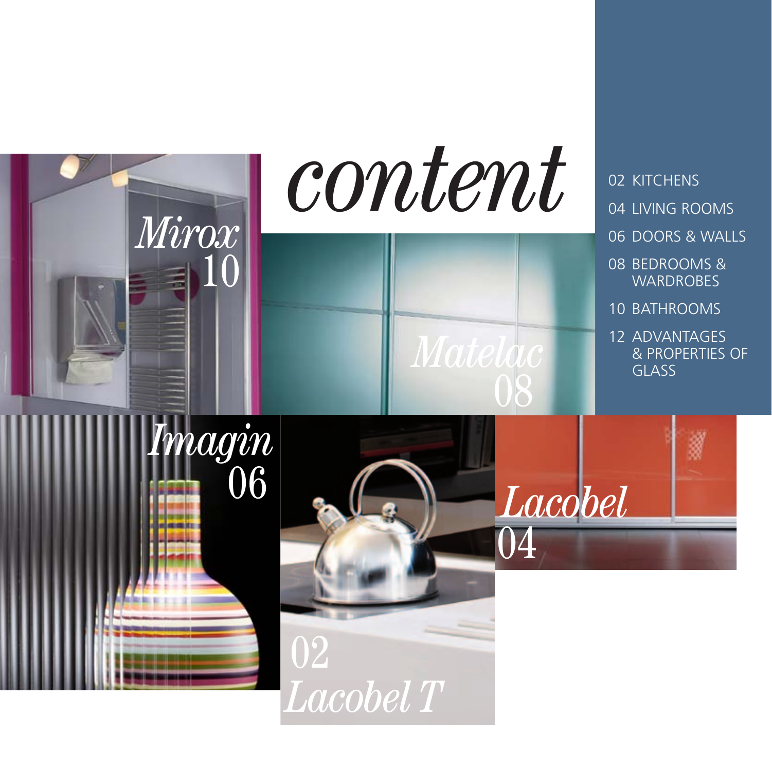

*Lacobel T*

## 04 living rOoms 06 doors & walls

- 08 bedrooms & **WARDROBES**
- 10 BATHROOMS
- 12 ADVANTAGES & PROPERTIES OF GLASS

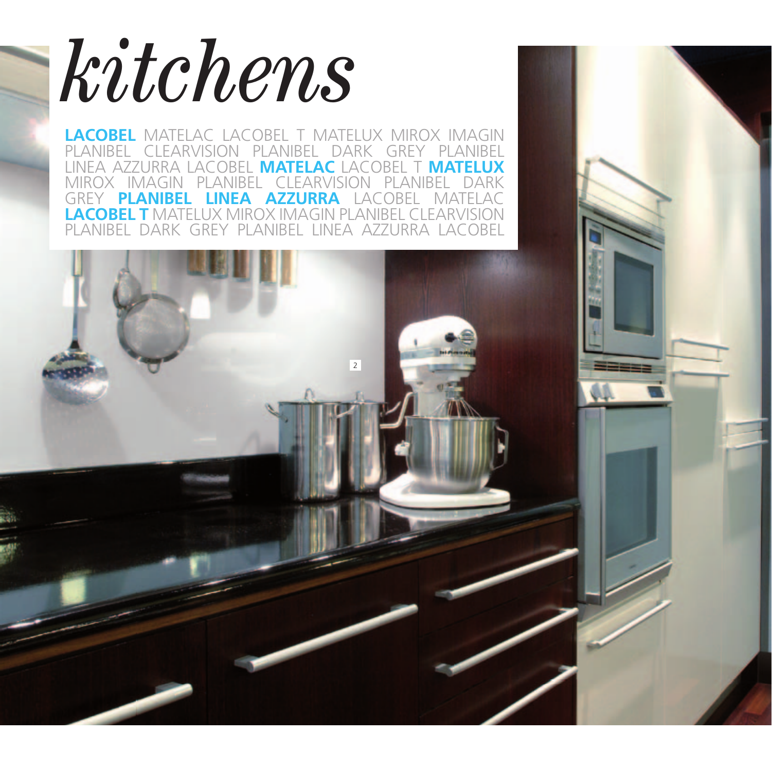

**LACOBEL** MATELAC LACOBEL T MATELUX MIROX IMAGIN planibel clearvision planibel dark grey planibel linea azzurra lacobel **MateLac** lacobel t **MateLux** mirox imagin planibel clearvision planibel dark **GREY PLANIBEL LINEA AZZURRA** LACOBEL MATELAC **LACOBEL T** MATELUX MIROX IMAGIN PLANIBEL CLEAR planibel dark grey planibel linea azzurra lacobel

 $\overline{2}$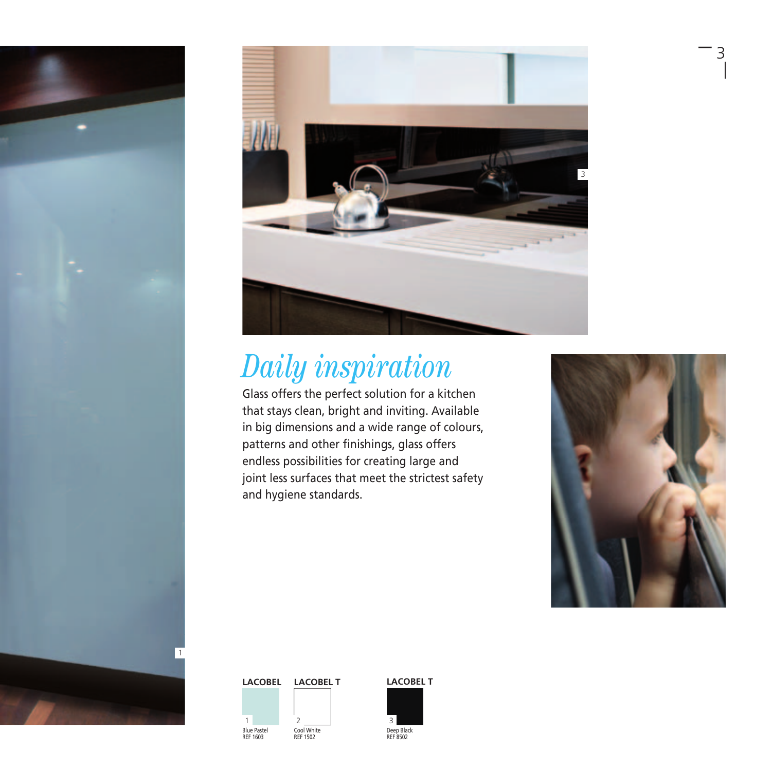



## *Daily inspiration*

Glass offers the perfect solution for a kitchen that stays clean, bright and inviting. Available in big dimensions and a wide range of colours, patterns and other finishings, glass offers endless possibilities for creating large and joint less surfaces that meet the strictest safety and hygiene standards.



– 3

### Cool White REF 1502 Blue Pastel REF 1603 1 2 3



Deep Black REF 8502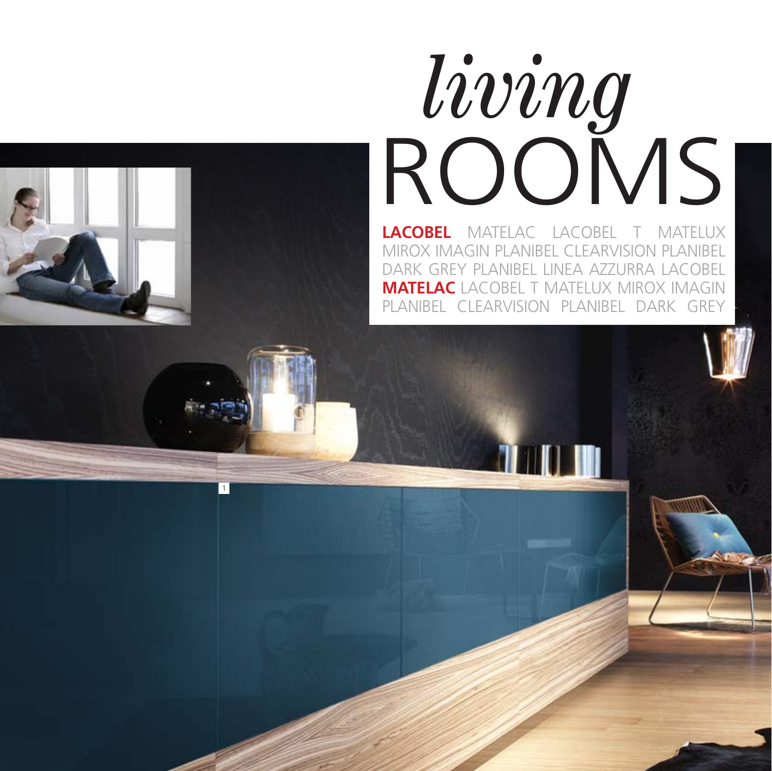# *living* ROOMS

**Lacobel** Matelac Lacobel T Matelux Mirox Imagin Planibel Clearvision Planibel Dark Grey Planibel Linea Azzurra Lacobel **Matelac** Lacobel T Matelux Mirox Imagin Planibel Clearvision Planibel Dark Grey

110 M

1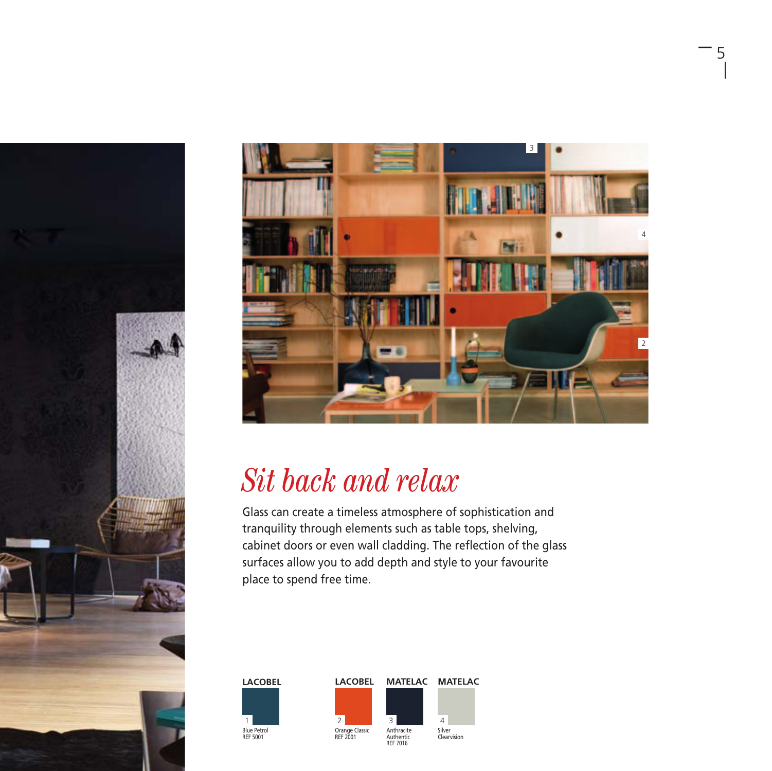



– 5

### *Sit back and relax*

Glass can create a timeless atmosphere of sophistication and tranquility through elements such as table tops, shelving, cabinet doors or even wall cladding. The reflection of the glass surfaces allow you to add depth and style to your favourite place to spend free time.

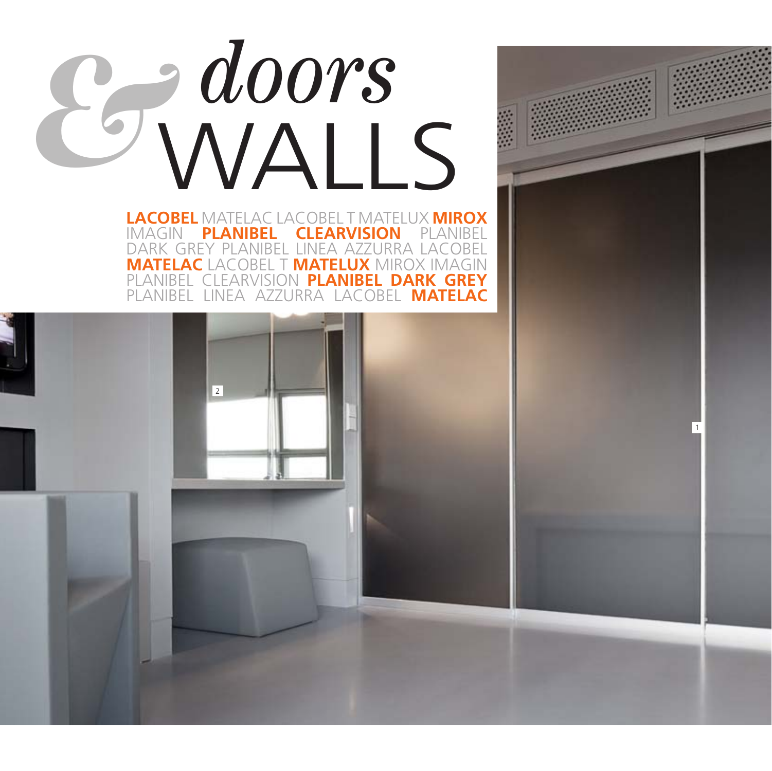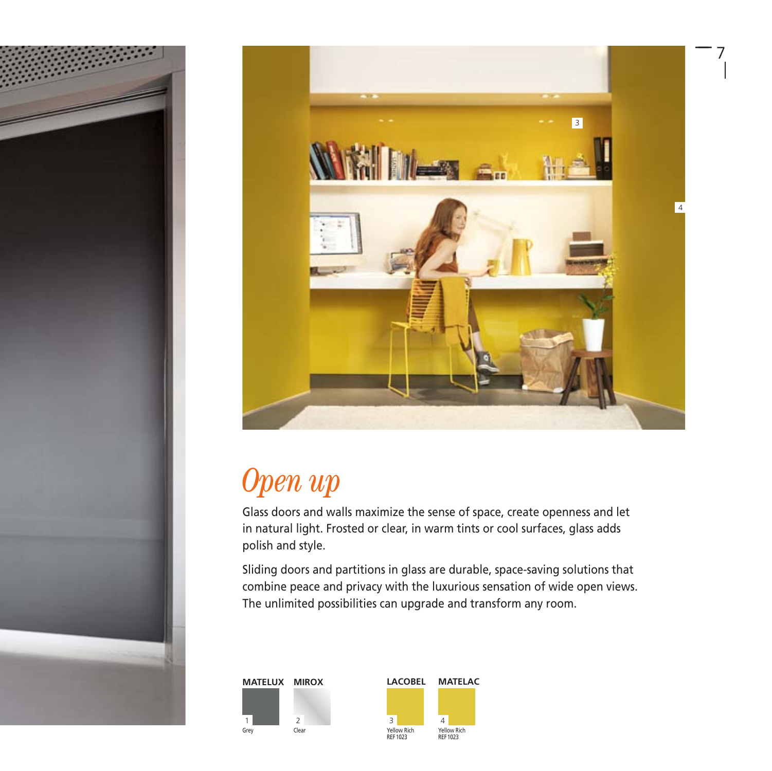



### *Open up*

Glass doors and walls maximize the sense of space, create openness and let in natural light. Frosted or clear, in warm tints or cool surfaces, glass adds polish and style.

Sliding doors and partitions in glass are durable, space-saving solutions that combine peace and privacy with the luxurious sensation of wide open views. The unlimited possibilities can upgrade and transform any room.



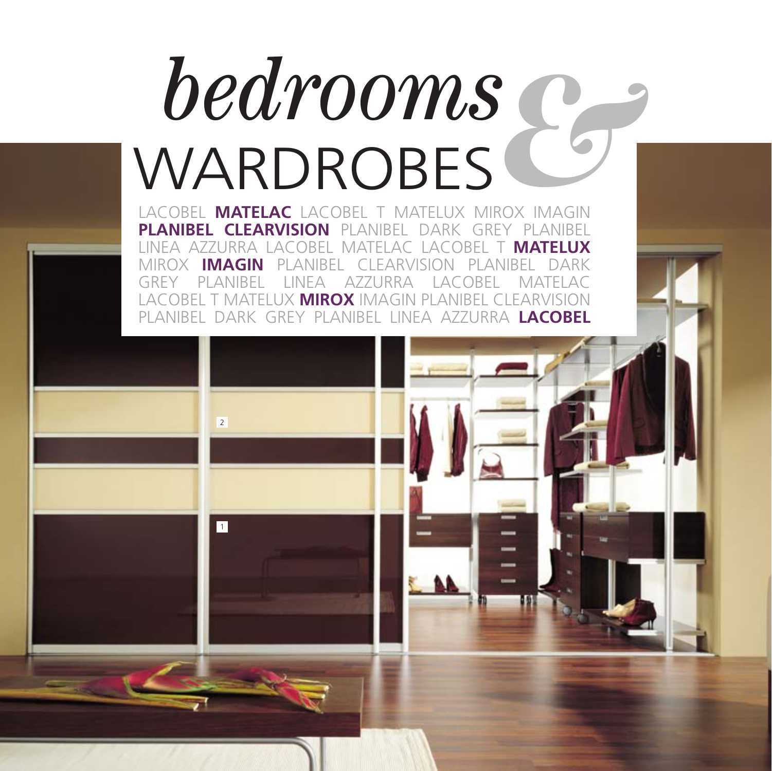# *bedrooms* WARDROBES

Lacobel **Matelac** Lacobel T Matelux Mirox Imagin **Planibel Clearvision** Planibel Dark Grey Planibel Linea Azzurra Lacobel Matelac Lacobel T **Matelux** Mirox **Imagin** Planibel Clearvision Planibel Dark Grey Planibel Linea Azzurra Lacobel Matelac Lacobel T Matelux **Mirox** Imagin Planibel Clearvision Planibel Dark Grey Planibel Linea Azzurra **Lacobel**

1

 $\overline{2}$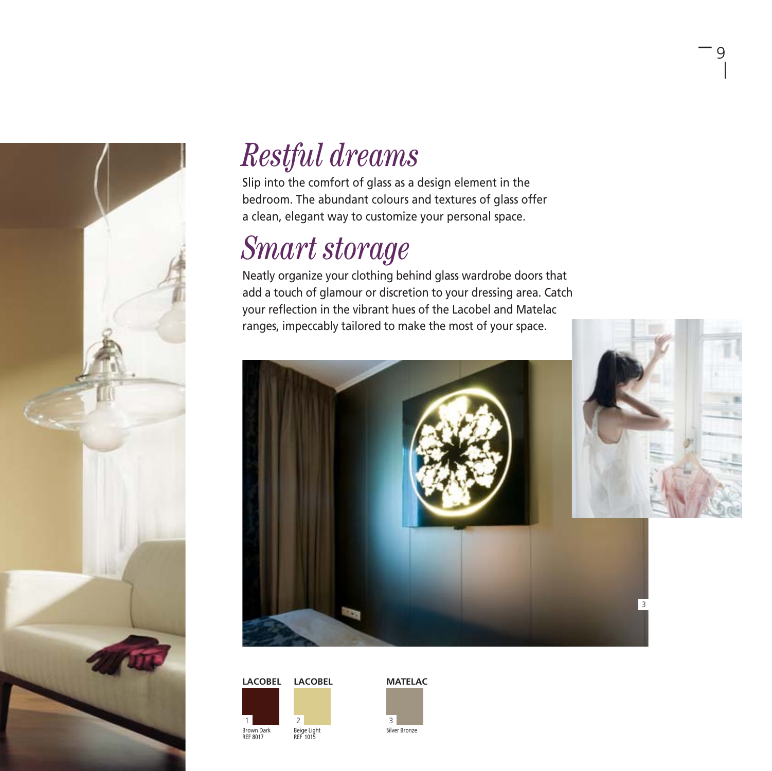

### *Restful dreams*

Slip into the comfort of glass as a design element in the bedroom. The abundant colours and textures of glass offer a clean, elegant way to customize your personal space.

### *Smart storage*

Neatly organize your clothing behind glass wardrobe doors that add a touch of glamour or discretion to your dressing area. Catch your reflection in the vibrant hues of the Lacobel and Matelac ranges, impeccably tailored to make the most of your space.



 $-$  9





Silver Bronze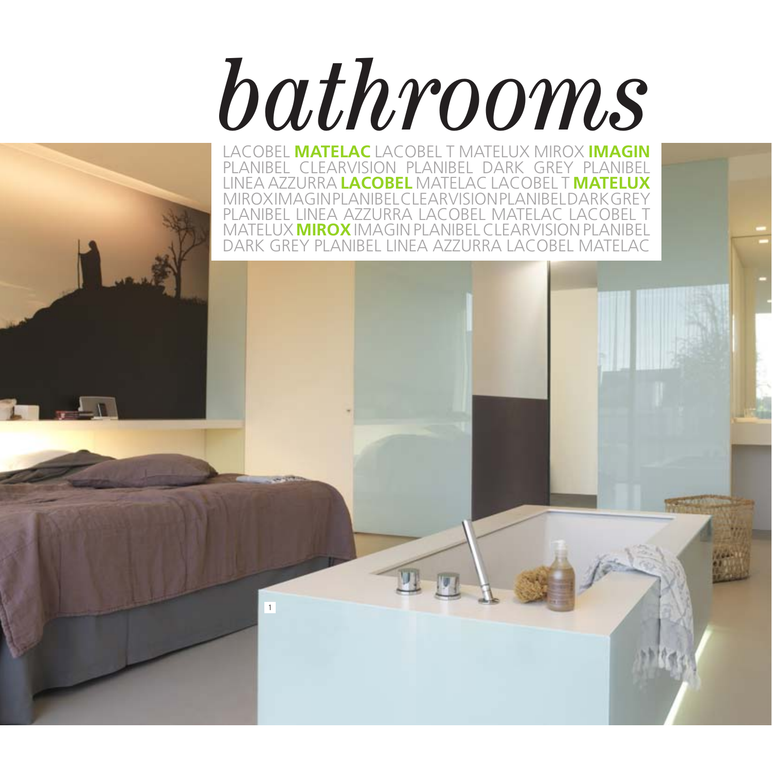# *bathrooms*

Lacobel **Matelac** Lacobel T Matelux Mirox **Imagin** Planibel Clearvision Planibel Dark Grey Planibel Linea Azzurra **Lacobel** Matelac Lacobel T **Matelux** Mirox Imagin Planibel Clearvision Planibel Dark Grey Planibel Linea Azzurra Lacobel Matelac Lacobel T Matelux **Mirox**Imagin Planibel Clearvision Planibel Dark Grey Planibel Linea Azzurra Lacobel Matelac

1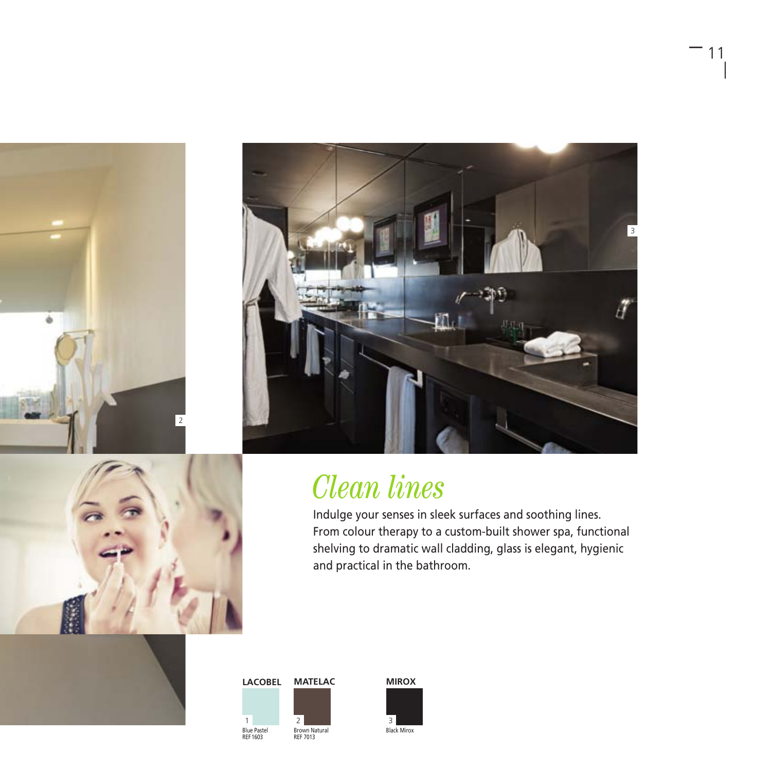





– <sup>11</sup>

### *Clean lines*

Indulge your senses in sleek surfaces and soothing lines. From colour therapy to a custom-built shower spa, functional shelving to dramatic wall cladding, glass is elegant, hygienic and practical in the bathroom.





Black Mirox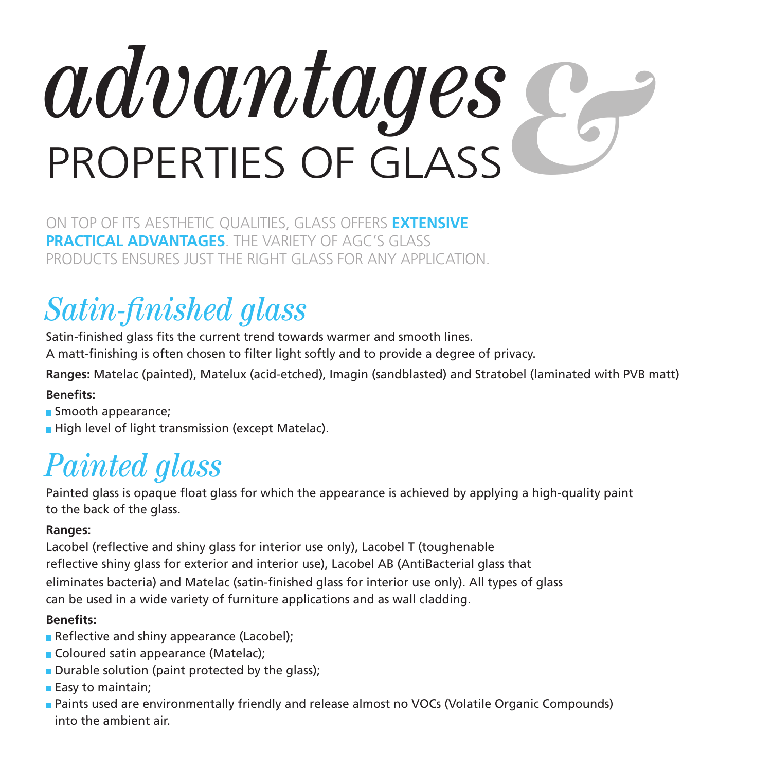# *advantages* properties of glass &

On top of its aesthetic qualities, glass offers **extensive practical advantages**. The variety of AGC's Glass products ensures just the right glass for any application.

### *Satin-finished glass*

Satin-finished glass fits the current trend towards warmer and smooth lines.

A matt-finishing is often chosen to filter light softly and to provide a degree of privacy.

**Ranges:** Matelac (painted), Matelux (acid-etched), Imagin (sandblasted) and Stratobel (laminated with PVB matt) **Benefits:**

- Smooth appearance;
- High level of light transmission (except Matelac).

### *Painted glass*

Painted glass is opaque float glass for which the appearance is achieved by applying a high-quality paint to the back of the glass.

### **Ranges:**

Lacobel (reflective and shiny glass for interior use only), Lacobel T (toughenable reflective shiny glass for exterior and interior use), Lacobel AB (AntiBacterial glass that eliminates bacteria) and Matelac (satin-finished glass for interior use only). All types of glass can be used in a wide variety of furniture applications and as wall cladding.

### **Benefits:**

- Reflective and shiny appearance (Lacobel);
- Coloured satin appearance (Matelac);
- $\blacksquare$  Durable solution (paint protected by the glass);
- $\blacksquare$  Easy to maintain;
- **Paints used are environmentally friendly and release almost no VOCs (Volatile Organic Compounds)** into the ambient air.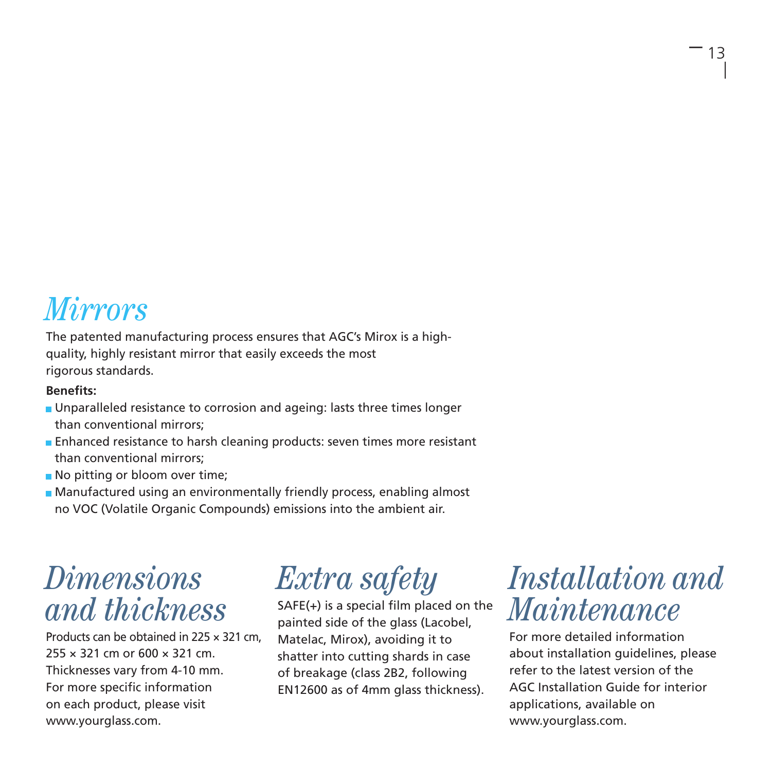### *Mirrors*

The patented manufacturing process ensures that AGC's Mirox is a highquality, highly resistant mirror that easily exceeds the most rigorous standards.

#### **Benefits:**

- **I** Unparalleled resistance to corrosion and ageing: lasts three times longer than conventional mirrors;
- **Enhanced resistance to harsh cleaning products: seven times more resistant** than conventional mirrors;
- No pitting or bloom over time;
- Manufactured using an environmentally friendly process, enabling almost no VOC (Volatile Organic Compounds) emissions into the ambient air.

### *Dimensions and thickness*

Products can be obtained in 225 × 321 cm, 255 × 321 cm or 600 × 321 cm. Thicknesses vary from 4-10 mm. For more specific information on each product, please visit www.yourglass.com.

### *Extra safety*

SAFE(+) is a special film placed on the painted side of the glass (Lacobel, Matelac, Mirox), avoiding it to shatter into cutting shards in case of breakage (class 2B2, following EN12600 as of 4mm glass thickness).

### *Installation and Maintenance*

For more detailed information about installation guidelines, please refer to the latest version of the AGC Installation Guide for interior applications, available on www.yourglass.com.